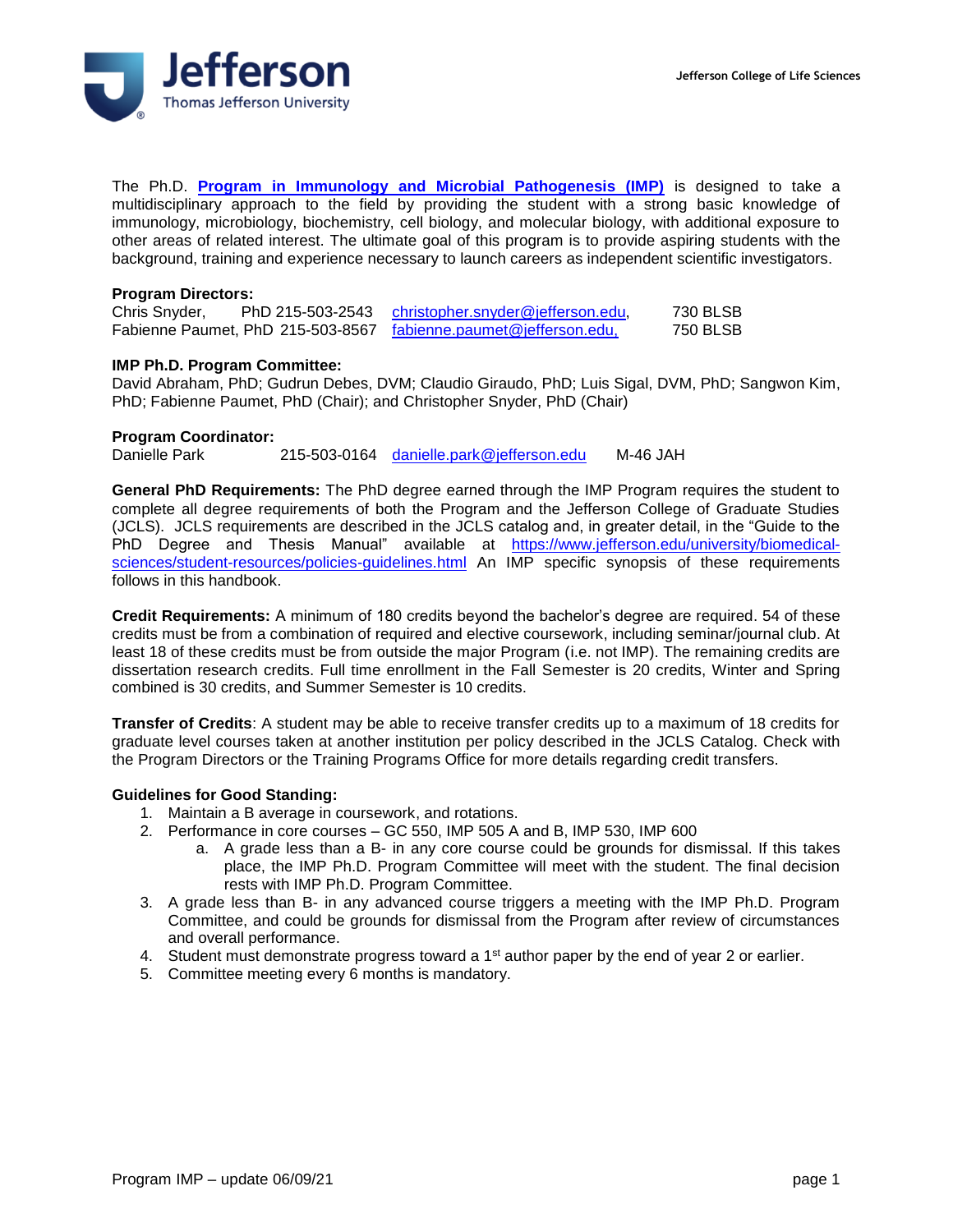

The Ph.D. **[Program in Immunology and Microbial Pathogenesis \(IMP\)](http://www.jefferson.edu/university/biomedical-sciences/degrees-programs/phd-programs/immunology.html)** is designed to take a multidisciplinary approach to the field by providing the student with a strong basic knowledge of immunology, microbiology, biochemistry, cell biology, and molecular biology, with additional exposure to other areas of related interest. The ultimate goal of this program is to provide aspiring students with the background, training and experience necessary to launch careers as independent scientific investigators.

#### **Program Directors:**

| Chris Snyder, | PhD 215-503-2543 | christopher.snyder@jefferson.edu,                                | 730 BLSB |
|---------------|------------------|------------------------------------------------------------------|----------|
|               |                  | Fabienne Paumet, PhD 215-503-8567 fabienne.paumet@jefferson.edu, | 750 BLSB |

#### **IMP Ph.D. Program Committee:**

David Abraham, PhD; Gudrun Debes, DVM; Claudio Giraudo, PhD; Luis Sigal, DVM, PhD; Sangwon Kim, PhD; Fabienne Paumet, PhD (Chair); and Christopher Snyder, PhD (Chair)

### **Program Coordinator:**

Danielle Park 215-503-0164 [danielle.park@jefferson.edu](mailto:joanne.balitzky@jefferson.edu) M-46 JAH

**General PhD Requirements:** The PhD degree earned through the IMP Program requires the student to complete all degree requirements of both the Program and the Jefferson College of Graduate Studies (JCLS). JCLS requirements are described in the JCLS catalog and, in greater detail, in the "Guide to the PhD Degree and Thesis Manual" available at [https://www.jefferson.edu/university/biomedical](https://www.jefferson.edu/university/biomedical-sciences/student-resources/policies-guidelines.html)[sciences/student-resources/policies-guidelines.html](https://www.jefferson.edu/university/biomedical-sciences/student-resources/policies-guidelines.html) An IMP specific synopsis of these requirements follows in this handbook.

**Credit Requirements:** A minimum of 180 credits beyond the bachelor's degree are required. 54 of these credits must be from a combination of required and elective coursework, including seminar/journal club. At least 18 of these credits must be from outside the major Program (i.e. not IMP). The remaining credits are dissertation research credits. Full time enrollment in the Fall Semester is 20 credits, Winter and Spring combined is 30 credits, and Summer Semester is 10 credits.

**Transfer of Credits**: A student may be able to receive transfer credits up to a maximum of 18 credits for graduate level courses taken at another institution per policy described in the JCLS Catalog. Check with the Program Directors or the Training Programs Office for more details regarding credit transfers.

## **Guidelines for Good Standing:**

- 1. Maintain a B average in coursework, and rotations.
- 2. Performance in core courses GC 550, IMP 505 A and B, IMP 530, IMP 600
	- a. A grade less than a B- in any core course could be grounds for dismissal. If this takes place, the IMP Ph.D. Program Committee will meet with the student. The final decision rests with IMP Ph.D. Program Committee.
- 3. A grade less than B- in any advanced course triggers a meeting with the IMP Ph.D. Program Committee, and could be grounds for dismissal from the Program after review of circumstances and overall performance.
- 4. Student must demonstrate progress toward a 1<sup>st</sup> author paper by the end of year 2 or earlier.
- 5. Committee meeting every 6 months is mandatory.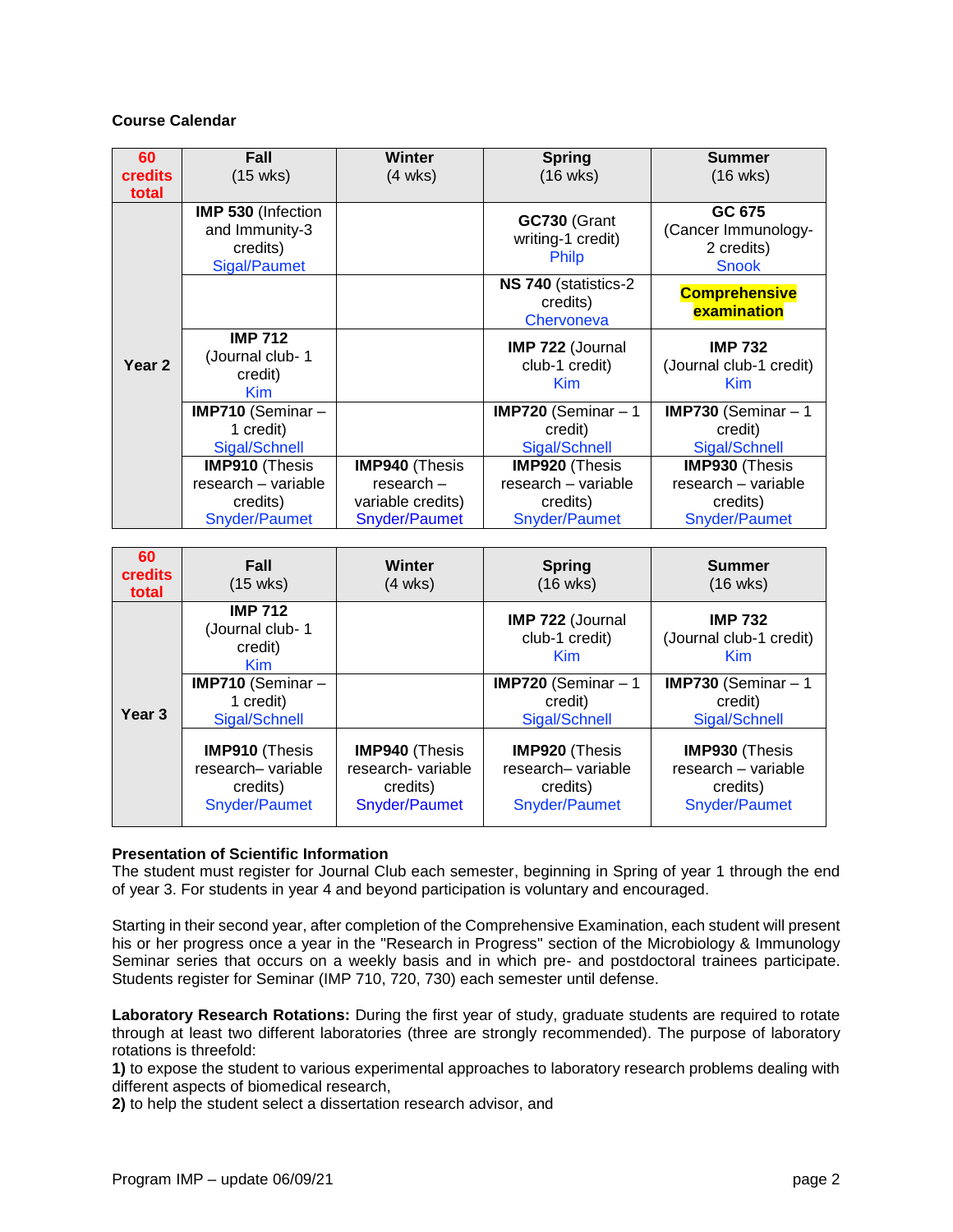# **Course Calendar**

| 60<br><b>credits</b><br>total | <b>Fall</b><br>(15 wks)                                                 | <b>Winter</b><br>$(4 \text{ wks})$ | <b>Spring</b><br>$(16 \text{ wks})$                     | <b>Summer</b><br>$(16 \text{ wks})$                         |
|-------------------------------|-------------------------------------------------------------------------|------------------------------------|---------------------------------------------------------|-------------------------------------------------------------|
| Year <sub>2</sub>             | <b>IMP 530 (Infection</b><br>and Immunity-3<br>credits)<br>Sigal/Paumet |                                    | GC730 (Grant<br>writing-1 credit)<br><b>Philp</b>       | GC 675<br>(Cancer Immunology-<br>2 credits)<br><b>Snook</b> |
|                               |                                                                         |                                    | NS 740 (statistics-2)<br>credits)<br>Chervoneva         | <b>Comprehensive</b><br>examination                         |
|                               | <b>IMP 712</b><br>(Journal club-1<br>credit)<br><b>Kim</b>              |                                    | <b>IMP 722 (Journal</b><br>club-1 credit)<br><b>Kim</b> | <b>IMP 732</b><br>(Journal club-1 credit)<br><b>Kim</b>     |
|                               | IMP710 (Seminar -                                                       |                                    | <b>IMP720</b> (Seminar $-1$                             | IMP730 (Seminar $-1$                                        |
|                               | 1 credit)<br>Sigal/Schnell                                              |                                    | credit)<br>Sigal/Schnell                                | credit)<br>Sigal/Schnell                                    |
|                               | <b>IMP910 (Thesis</b>                                                   | <b>IMP940 (Thesis</b>              | <b>IMP920 (Thesis</b>                                   | <b>IMP930 (Thesis</b>                                       |
|                               | research - variable                                                     | $res\text{each} -$                 | research - variable                                     | research - variable                                         |
|                               | credits)                                                                | variable credits)                  | credits)                                                | credits)                                                    |
|                               | Snyder/Paumet                                                           | Snyder/Paumet                      | <b>Snyder/Paumet</b>                                    | Snyder/Paumet                                               |

| 60<br><b>credits</b><br>total | <b>Fall</b><br>$(15 \text{ wks})$                                       | Winter<br>$(4 \text{ wks})$                                              | <b>Spring</b><br>$(16 \text{ wks})$                                      | <b>Summer</b><br>$(16 \text{ wks})$                                       |
|-------------------------------|-------------------------------------------------------------------------|--------------------------------------------------------------------------|--------------------------------------------------------------------------|---------------------------------------------------------------------------|
| Year <sub>3</sub>             | <b>IMP 712</b><br>(Journal club-1<br>credit)<br><b>Kim</b>              |                                                                          | IMP 722 (Journal<br>club-1 credit)<br><b>Kim</b>                         | <b>IMP 732</b><br>(Journal club-1 credit)<br><b>Kim</b>                   |
|                               | <b>IMP710</b> (Seminar $-$<br>1 credit)<br>Sigal/Schnell                |                                                                          | <b>IMP720</b> (Seminar $-1$<br>credit)<br>Sigal/Schnell                  | <b>IMP730</b> (Seminar $-1$<br>credit)<br>Sigal/Schnell                   |
|                               | <b>IMP910 (Thesis</b><br>research-variable<br>credits)<br>Snyder/Paumet | <b>IMP940 (Thesis</b><br>research- variable<br>credits)<br>Snyder/Paumet | <b>IMP920 (Thesis</b><br>research- variable<br>credits)<br>Snyder/Paumet | <b>IMP930 (Thesis</b><br>research - variable<br>credits)<br>Snyder/Paumet |

## **Presentation of Scientific Information**

The student must register for Journal Club each semester, beginning in Spring of year 1 through the end of year 3. For students in year 4 and beyond participation is voluntary and encouraged.

Starting in their second year, after completion of the Comprehensive Examination, each student will present his or her progress once a year in the "Research in Progress" section of the Microbiology & Immunology Seminar series that occurs on a weekly basis and in which pre- and postdoctoral trainees participate. Students register for Seminar (IMP 710, 720, 730) each semester until defense.

**Laboratory Research Rotations:** During the first year of study, graduate students are required to rotate through at least two different laboratories (three are strongly recommended). The purpose of laboratory rotations is threefold:

**1)** to expose the student to various experimental approaches to laboratory research problems dealing with different aspects of biomedical research,

**2)** to help the student select a dissertation research advisor, and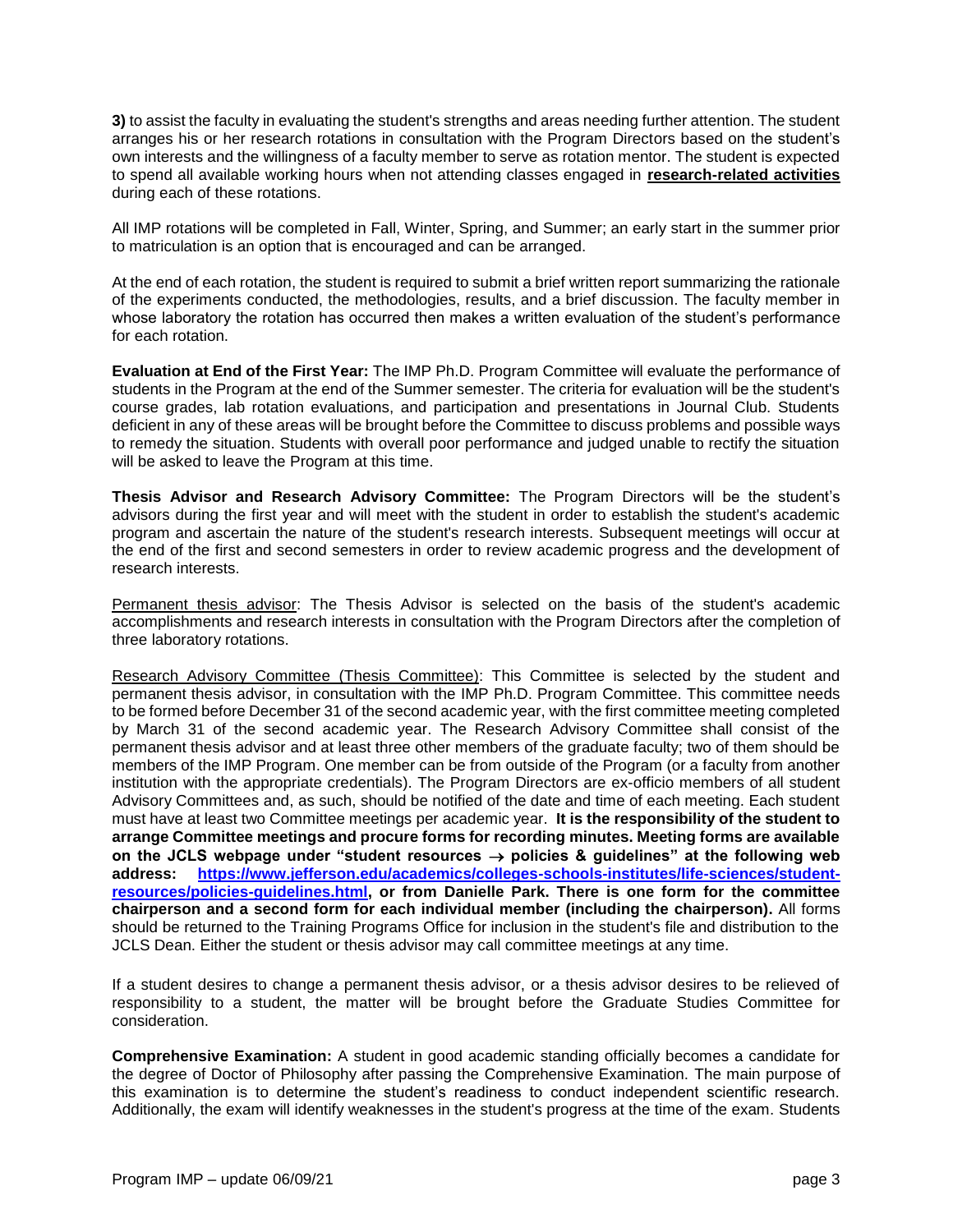**3)** to assist the faculty in evaluating the student's strengths and areas needing further attention. The student arranges his or her research rotations in consultation with the Program Directors based on the student's own interests and the willingness of a faculty member to serve as rotation mentor. The student is expected to spend all available working hours when not attending classes engaged in **research-related activities** during each of these rotations.

All IMP rotations will be completed in Fall, Winter, Spring, and Summer; an early start in the summer prior to matriculation is an option that is encouraged and can be arranged.

At the end of each rotation, the student is required to submit a brief written report summarizing the rationale of the experiments conducted, the methodologies, results, and a brief discussion. The faculty member in whose laboratory the rotation has occurred then makes a written evaluation of the student's performance for each rotation.

**Evaluation at End of the First Year:** The IMP Ph.D. Program Committee will evaluate the performance of students in the Program at the end of the Summer semester. The criteria for evaluation will be the student's course grades, lab rotation evaluations, and participation and presentations in Journal Club. Students deficient in any of these areas will be brought before the Committee to discuss problems and possible ways to remedy the situation. Students with overall poor performance and judged unable to rectify the situation will be asked to leave the Program at this time.

**Thesis Advisor and Research Advisory Committee:** The Program Directors will be the student's advisors during the first year and will meet with the student in order to establish the student's academic program and ascertain the nature of the student's research interests. Subsequent meetings will occur at the end of the first and second semesters in order to review academic progress and the development of research interests.

Permanent thesis advisor: The Thesis Advisor is selected on the basis of the student's academic accomplishments and research interests in consultation with the Program Directors after the completion of three laboratory rotations.

Research Advisory Committee (Thesis Committee): This Committee is selected by the student and permanent thesis advisor, in consultation with the IMP Ph.D. Program Committee. This committee needs to be formed before December 31 of the second academic year, with the first committee meeting completed by March 31 of the second academic year. The Research Advisory Committee shall consist of the permanent thesis advisor and at least three other members of the graduate faculty; two of them should be members of the IMP Program. One member can be from outside of the Program (or a faculty from another institution with the appropriate credentials). The Program Directors are ex-officio members of all student Advisory Committees and, as such, should be notified of the date and time of each meeting. Each student must have at least two Committee meetings per academic year. **It is the responsibility of the student to arrange Committee meetings and procure forms for recording minutes. Meeting forms are available** on the JCLS webpage under "student resources → policies & guidelines" at the following web **address: [https://www.jefferson.edu/academics/colleges-schools-institutes/life-sciences/student](https://www.jefferson.edu/academics/colleges-schools-institutes/life-sciences/student-resources/policies-guidelines.html)[resources/policies-guidelines.html,](https://www.jefferson.edu/academics/colleges-schools-institutes/life-sciences/student-resources/policies-guidelines.html) or from Danielle Park. There is one form for the committee chairperson and a second form for each individual member (including the chairperson).** All forms should be returned to the Training Programs Office for inclusion in the student's file and distribution to the JCLS Dean. Either the student or thesis advisor may call committee meetings at any time.

If a student desires to change a permanent thesis advisor, or a thesis advisor desires to be relieved of responsibility to a student, the matter will be brought before the Graduate Studies Committee for consideration.

**Comprehensive Examination:** A student in good academic standing officially becomes a candidate for the degree of Doctor of Philosophy after passing the Comprehensive Examination. The main purpose of this examination is to determine the student's readiness to conduct independent scientific research. Additionally, the exam will identify weaknesses in the student's progress at the time of the exam. Students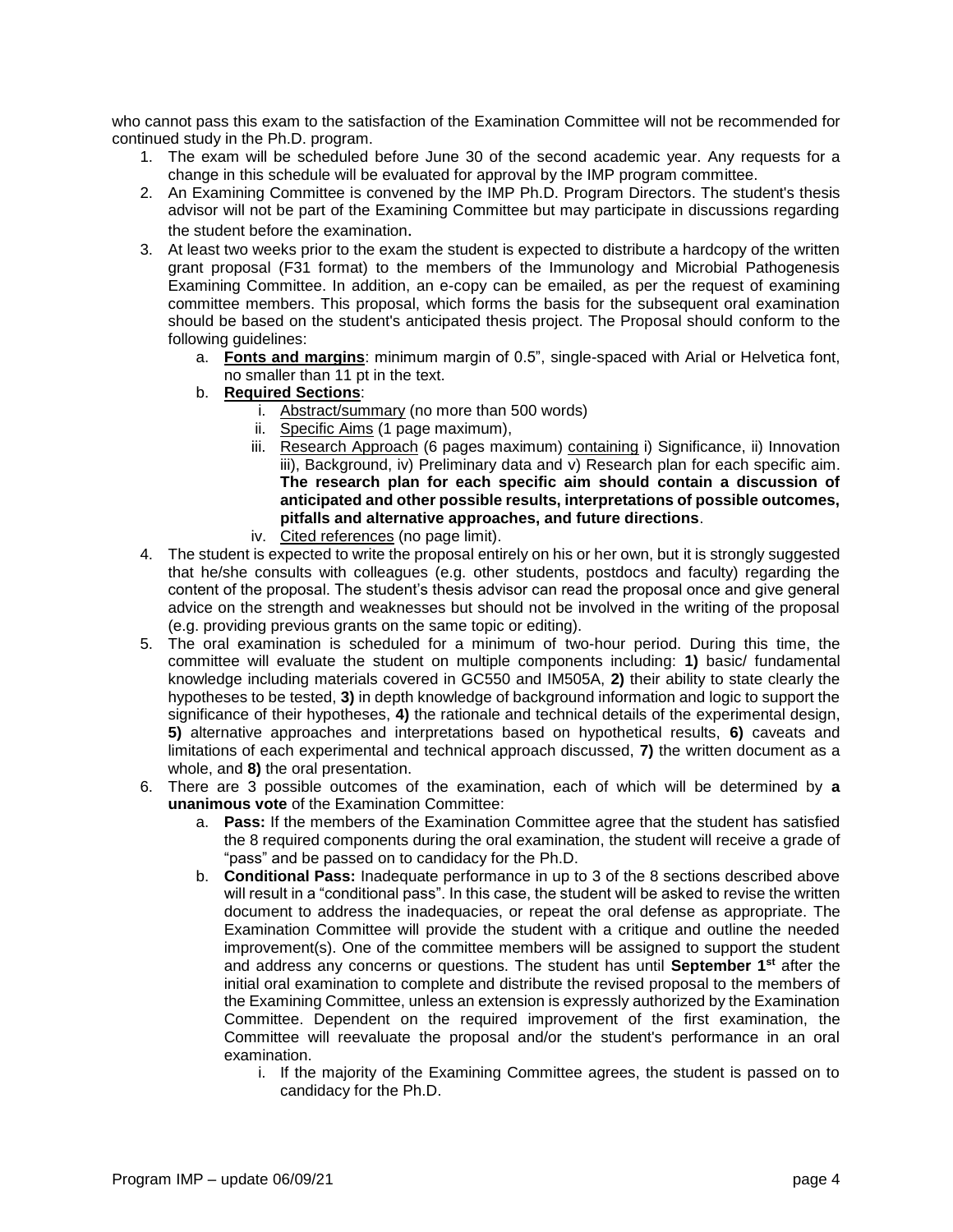who cannot pass this exam to the satisfaction of the Examination Committee will not be recommended for continued study in the Ph.D. program.

- 1. The exam will be scheduled before June 30 of the second academic year. Any requests for a change in this schedule will be evaluated for approval by the IMP program committee.
- 2. An Examining Committee is convened by the IMP Ph.D. Program Directors. The student's thesis advisor will not be part of the Examining Committee but may participate in discussions regarding the student before the examination.
- 3. At least two weeks prior to the exam the student is expected to distribute a hardcopy of the written grant proposal (F31 format) to the members of the Immunology and Microbial Pathogenesis Examining Committee. In addition, an e-copy can be emailed, as per the request of examining committee members. This proposal, which forms the basis for the subsequent oral examination should be based on the student's anticipated thesis project. The Proposal should conform to the following guidelines:
	- a. **Fonts and margins**: minimum margin of 0.5", single-spaced with Arial or Helvetica font, no smaller than 11 pt in the text.
	- b. **Required Sections**:
		- i. Abstract/summary (no more than 500 words)
		- ii. Specific Aims (1 page maximum),
		- iii. Research Approach (6 pages maximum) containing i) Significance, ii) Innovation iii), Background, iv) Preliminary data and v) Research plan for each specific aim. **The research plan for each specific aim should contain a discussion of anticipated and other possible results, interpretations of possible outcomes, pitfalls and alternative approaches, and future directions**.
		- iv. Cited references (no page limit).
- 4. The student is expected to write the proposal entirely on his or her own, but it is strongly suggested that he/she consults with colleagues (e.g. other students, postdocs and faculty) regarding the content of the proposal. The student's thesis advisor can read the proposal once and give general advice on the strength and weaknesses but should not be involved in the writing of the proposal (e.g. providing previous grants on the same topic or editing).
- 5. The oral examination is scheduled for a minimum of two-hour period. During this time, the committee will evaluate the student on multiple components including: **1)** basic/ fundamental knowledge including materials covered in GC550 and IM505A, **2)** their ability to state clearly the hypotheses to be tested, **3)** in depth knowledge of background information and logic to support the significance of their hypotheses, **4)** the rationale and technical details of the experimental design, **5)** alternative approaches and interpretations based on hypothetical results, **6)** caveats and limitations of each experimental and technical approach discussed, **7)** the written document as a whole, and **8)** the oral presentation.
- 6. There are 3 possible outcomes of the examination, each of which will be determined by **a unanimous vote** of the Examination Committee:
	- a. **Pass:** If the members of the Examination Committee agree that the student has satisfied the 8 required components during the oral examination, the student will receive a grade of "pass" and be passed on to candidacy for the Ph.D.
	- b. **Conditional Pass:** Inadequate performance in up to 3 of the 8 sections described above will result in a "conditional pass". In this case, the student will be asked to revise the written document to address the inadequacies, or repeat the oral defense as appropriate. The Examination Committee will provide the student with a critique and outline the needed improvement(s). One of the committee members will be assigned to support the student and address any concerns or questions. The student has until **September 1st** after the initial oral examination to complete and distribute the revised proposal to the members of the Examining Committee, unless an extension is expressly authorized by the Examination Committee. Dependent on the required improvement of the first examination, the Committee will reevaluate the proposal and/or the student's performance in an oral examination.
		- i. If the majority of the Examining Committee agrees, the student is passed on to candidacy for the Ph.D.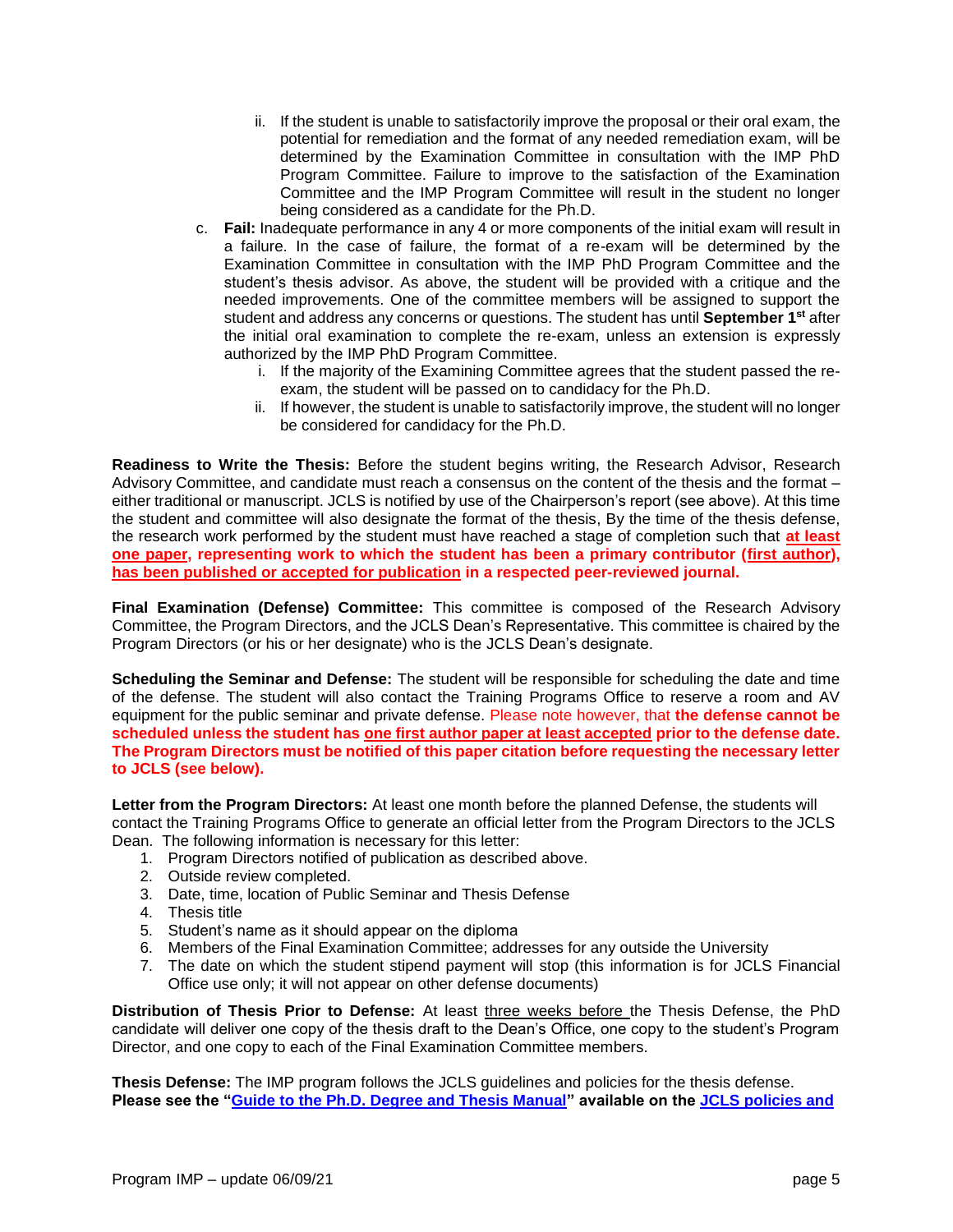- ii. If the student is unable to satisfactorily improve the proposal or their oral exam, the potential for remediation and the format of any needed remediation exam, will be determined by the Examination Committee in consultation with the IMP PhD Program Committee. Failure to improve to the satisfaction of the Examination Committee and the IMP Program Committee will result in the student no longer being considered as a candidate for the Ph.D.
- c. **Fail:** Inadequate performance in any 4 or more components of the initial exam will result in a failure. In the case of failure, the format of a re-exam will be determined by the Examination Committee in consultation with the IMP PhD Program Committee and the student's thesis advisor. As above, the student will be provided with a critique and the needed improvements. One of the committee members will be assigned to support the student and address any concerns or questions. The student has until **September 1st** after the initial oral examination to complete the re-exam, unless an extension is expressly authorized by the IMP PhD Program Committee.
	- i. If the majority of the Examining Committee agrees that the student passed the reexam, the student will be passed on to candidacy for the Ph.D.
	- ii. If however, the student is unable to satisfactorily improve, the student will no longer be considered for candidacy for the Ph.D.

**Readiness to Write the Thesis:** Before the student begins writing, the Research Advisor, Research Advisory Committee, and candidate must reach a consensus on the content of the thesis and the format – either traditional or manuscript. JCLS is notified by use of the Chairperson's report (see above). At this time the student and committee will also designate the format of the thesis, By the time of the thesis defense, the research work performed by the student must have reached a stage of completion such that **at least one paper, representing work to which the student has been a primary contributor (first author), has been published or accepted for publication in a respected peer-reviewed journal.**

**Final Examination (Defense) Committee:** This committee is composed of the Research Advisory Committee, the Program Directors, and the JCLS Dean's Representative. This committee is chaired by the Program Directors (or his or her designate) who is the JCLS Dean's designate.

**Scheduling the Seminar and Defense:** The student will be responsible for scheduling the date and time of the defense. The student will also contact the Training Programs Office to reserve a room and AV equipment for the public seminar and private defense. Please note however, that **the defense cannot be scheduled unless the student has one first author paper at least accepted prior to the defense date. The Program Directors must be notified of this paper citation before requesting the necessary letter to JCLS (see below).**

**Letter from the Program Directors:** At least one month before the planned Defense, the students will contact the Training Programs Office to generate an official letter from the Program Directors to the JCLS Dean. The following information is necessary for this letter:

- 1. Program Directors notified of publication as described above.
- 2. Outside review completed.
- 3. Date, time, location of Public Seminar and Thesis Defense
- 4. Thesis title
- 5. Student's name as it should appear on the diploma
- 6. Members of the Final Examination Committee; addresses for any outside the University
- 7. The date on which the student stipend payment will stop (this information is for JCLS Financial Office use only; it will not appear on other defense documents)

**Distribution of Thesis Prior to Defense:** At least three weeks before the Thesis Defense, the PhD candidate will deliver one copy of the thesis draft to the Dean's Office, one copy to the student's Program Director, and one copy to each of the Final Examination Committee members.

**Thesis Defense:** The IMP program follows the JCLS guidelines and policies for the thesis defense. **Please see the ["Guide to the Ph.D. Degree and Thesis Manual"](https://www.jefferson.edu/content/dam/university/biomedical-sciences/student-guide/policies/appendices/PhD%20Guide%20and%20Thesis%20Manual%202016-2017.pdf) available on the [JCLS policies and](https://www.jefferson.edu/university/life-sciences/student-resources/policies-guidelines.html)**